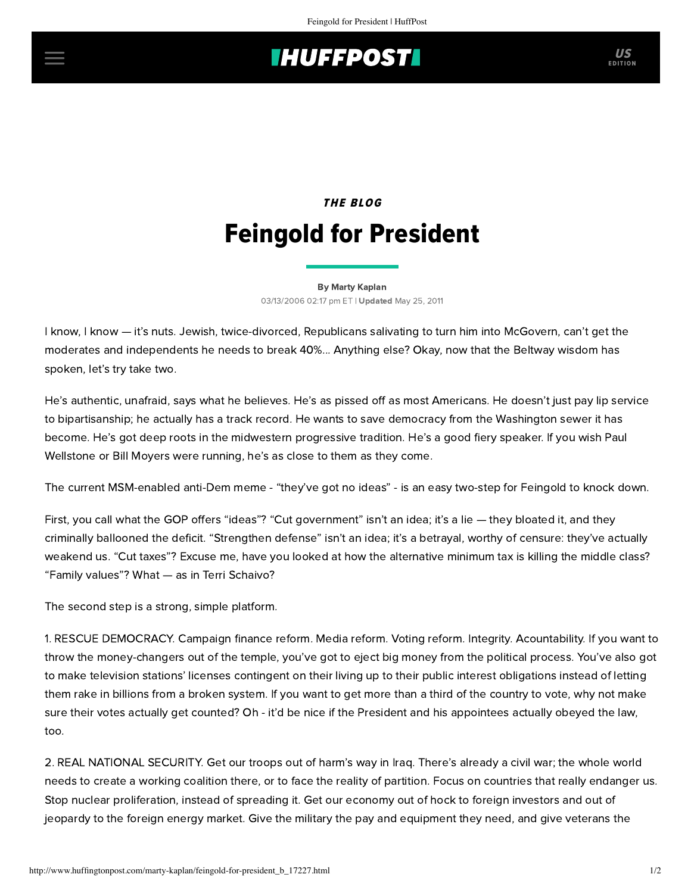## **INUFFPOSTI** US

## **THE BLOG** Feingold for President

[By Marty Kaplan](http://www.huffingtonpost.com/author/marty-kaplan) 03/13/2006 02:17 pm ET | Updated May 25, 2011

I know, I know — it's nuts. Jewish, twice-divorced, Republicans salivating to turn him into McGovern, can't get the moderates and independents he needs to break 40%... Anything else? Okay, now that the Beltway wisdom has spoken, let's try take two.

He's authentic, unafraid, says what he believes. He's as pissed off as most Americans. He doesn't just pay lip service to bipartisanship; he actually has a track record. He wants to save democracy from the Washington sewer it has become. He's got deep roots in the midwestern progressive tradition. He's a good fiery speaker. If you wish Paul Wellstone or Bill Moyers were running, he's as close to them as they come.

The current MSM-enabled anti-Dem meme - "they've got no ideas" - is an easy two-step for Feingold to knock down.

First, you call what the GOP offers "ideas"? "Cut government" isn't an idea; it's a lie — they bloated it, and they criminally ballooned the deficit. "Strengthen defense" isn't an idea; it's a betrayal, worthy of censure: they've actually weakend us. "Cut taxes"? Excuse me, have you looked at how the alternative minimum tax is killing the middle class? "Family values"? What — as in Terri Schaivo?

The second step is a strong, simple platform.

1. RESCUE DEMOCRACY. Campaign finance reform. Media reform. Voting reform. Integrity. Acountability. If you want to throw the money-changers out of the temple, you've got to eject big money from the political process. You've also got to make television stations' licenses contingent on their living up to their public interest obligations instead of letting them rake in billions from a broken system. If you want to get more than a third of the country to vote, why not make sure their votes actually get counted? Oh - it'd be nice if the President and his appointees actually obeyed the law, too.

2. REAL NATIONAL SECURITY. Get our troops out of harm's way in Iraq. There's already a civil war; the whole world needs to create a working coalition there, or to face the reality of partition. Focus on countries that really endanger us. Stop nuclear proliferation, instead of spreading it. Get our economy out of hock to foreign investors and out of jeopardy to the foreign energy market. Give the military the pay and equipment they need, and give veterans the